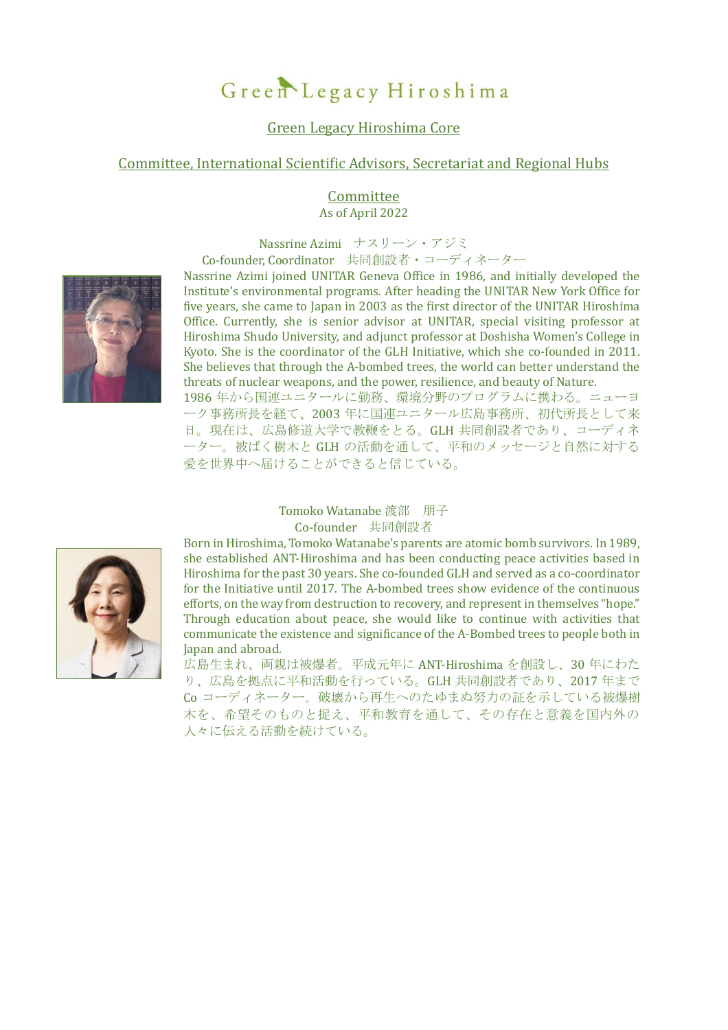# Green Legacy Hiroshima

# Green Legacy Hiroshima Core

## Committee, International Scientific Advisors, Secretariat and Regional Hubs

#### **Committee** As of April 2022

Nassrine Azimi ナスリーン・アジミ

Co-founder, Coordinator 共同創設者・コーディネーター



Nassrine Azimi joined UNITAR Geneva Office in 1986, and initially developed the Institute's environmental programs. After heading the UNITAR New York Office for five years, she came to Japan in 2003 as the first director of the UNITAR Hiroshima Office. Currently, she is senior advisor at UNITAR, special visiting professor at Hiroshima Shudo University, and adjunct professor at Doshisha Women's College in Kyoto. She is the coordinator of the GLH Initiative, which she co-founded in 2011. She believes that through the A-bombed trees, the world can better understand the threats of nuclear weapons, and the power, resilience, and beauty of Nature.

1986 年から国連ユニタールに勤務、環境分野のプログラムに携わる。ニューヨ ーク事務所長を経て、2003 年に国連ユニタール広島事務所、初代所長として来 日。現在は、広島修道大学で教鞭をとる。GLH 共同創設者であり、コーディネ ーター。被ばく樹木と GLH の活動を通して、平和のメッセージと自然に対する 愛を世界中へ届けることができると信じている。

#### Tomoko Watanabe 渡部 朋子 Co-founder 共同創設者

Born in Hiroshima, Tomoko Watanabe's parents are atomic bomb survivors. In 1989, she established ANT-Hiroshima and has been conducting peace activities based in Hiroshima for the past 30 years. She co-founded GLH and served as a co-coordinator for the Initiative until 2017. The A-bombed trees show evidence of the continuous efforts, on the way from destruction to recovery, and represent in themselves "hope." Through education about peace, she would like to continue with activities that communicate the existence and significance of the A-Bombed trees to people both in Japan and abroad.

広島生まれ、両親は被爆者。平成元年に ANT-Hiroshima を創設し、30 年にわた り、広島を拠点に平和活動を行っている。GLH 共同創設者であり、2017 年まで Co コーディネーター。破壊から再生へのたゆまぬ努力の証を示している被爆樹 木を、希望そのものと捉え、平和教育を通して、その存在と意義を国内外の 人々に伝える活動を続けている。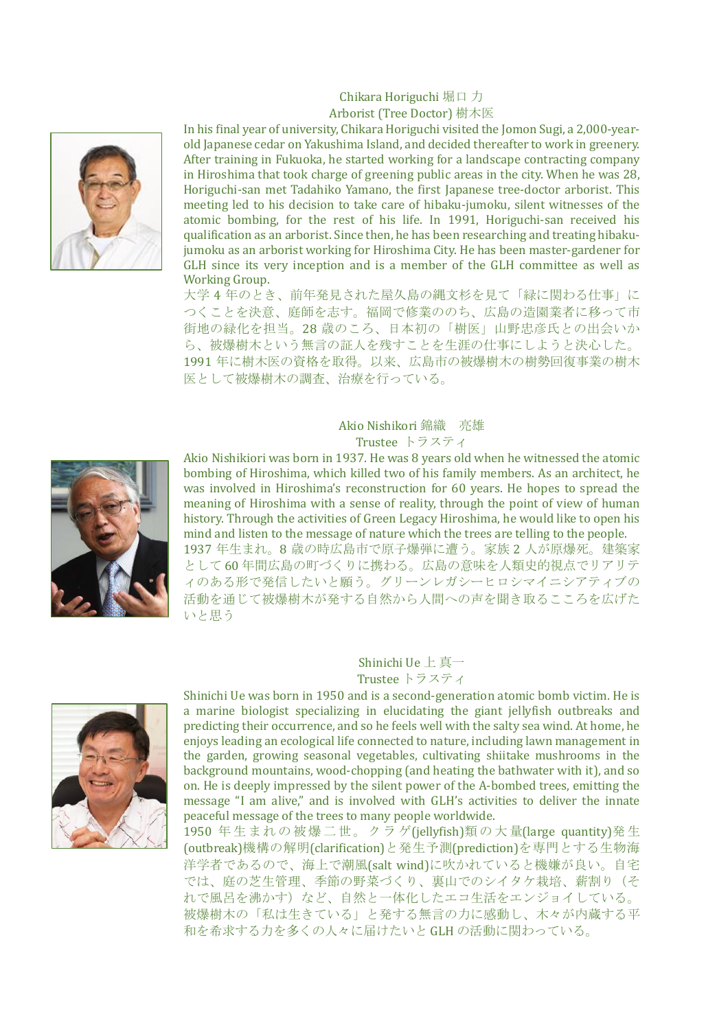#### Chikara Horiguchi 堀口 力 Arborist (Tree Doctor) 樹木医



In his final year of university, Chikara Horiguchi visited the Jomon Sugi, a 2,000-yearold Japanese cedar on Yakushima Island, and decided thereafter to work in greenery. After training in Fukuoka, he started working for a landscape contracting company in Hiroshima that took charge of greening public areas in the city. When he was 28, Horiguchi-san met Tadahiko Yamano, the first Japanese tree-doctor arborist. This meeting led to his decision to take care of hibaku-jumoku, silent witnesses of the atomic bombing, for the rest of his life. In 1991, Horiguchi-san received his qualification as an arborist. Since then, he has been researching and treating hibakujumoku as an arborist working for Hiroshima City. He has been master-gardener for GLH since its very inception and is a member of the GLH committee as well as Working Group.

大学 4 年のとき、前年発見された屋久島の縄文杉を見て「緑に関わる仕事」に つくことを決意、庭師を志す。福岡で修業ののち、広島の造園業者に移って市 街地の緑化を担当。28 歳のころ、日本初の「樹医」山野忠彦氏との出会いか ら、被爆樹木という無言の証人を残すことを生涯の仕事にしようと決心した。 1991 年に樹木医の資格を取得。以来、広島市の被爆樹木の樹勢回復事業の樹木 医として被爆樹木の調査、治療を行っている。

# Akio Nishikori 錦織 亮雄

Trustee トラスティ



Akio Nishikiori was born in 1937. He was 8 years old when he witnessed the atomic bombing of Hiroshima, which killed two of his family members. As an architect, he was involved in Hiroshima's reconstruction for 60 years. He hopes to spread the meaning of Hiroshima with a sense of reality, through the point of view of human history. Through the activities of Green Legacy Hiroshima, he would like to open his mind and listen to the message of nature which the trees are telling to the people. 1937 年生まれ。8 歳の時広島市で原子爆弾に遭う。家族 2 人が原爆死。建築家 として 60 年間広島の町づくりに携わる。広島の意味を人類史的視点でリアリテ ィのある形で発信したいと願う。グリーンレガシーヒロシマイニシアティブの 活動を通じて被爆樹木が発する自然から人間への声を聞き取るこころを広げた いと思う

#### Shinichi Ue 上 真一 Trustee トラスティ



Shinichi Ue was born in 1950 and is a second-generation atomic bomb victim. He is a marine biologist specializing in elucidating the giant jellyfish outbreaks and predicting their occurrence, and so he feels well with the salty sea wind. At home, he enjoys leading an ecological life connected to nature, including lawn management in the garden, growing seasonal vegetables, cultivating shiitake mushrooms in the background mountains, wood-chopping (and heating the bathwater with it), and so on. He is deeply impressed by the silent power of the A-bombed trees, emitting the message "I am alive," and is involved with GLH's activities to deliver the innate peaceful message of the trees to many people worldwide.

1950 年 生まれの 被爆二世 。クラ ゲ(jellyfish)類の 大量(large quantity)発生 (outbreak)機構の解明(clarification)と発生予測(prediction)を専門とする生物海 洋学者であるので、海上で潮風(salt wind)に吹かれていると機嫌が良い。自宅 では、庭の芝生管理、季節の野菜づくり、裏山でのシイタケ栽培、薪割り(そ れで風呂を沸かす)など、自然と一体化したエコ生活をエンジョイしている。 被爆樹木の「私は生きている」と発する無言の力に感動し、木々が内蔵する平 和を希求する力を多くの人々に届けたいと GLH の活動に関わっている。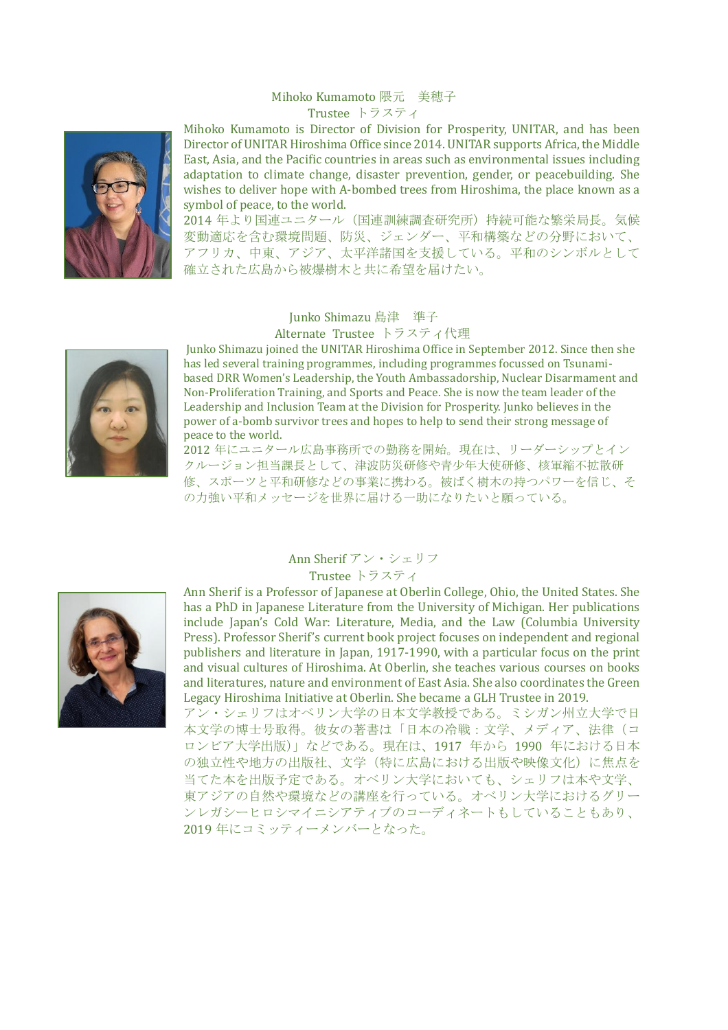#### Mihoko Kumamoto 隈元 美穂子 Trustee トラスティ



Mihoko Kumamoto is Director of Division for Prosperity, UNITAR, and has been Director of UNITAR Hiroshima Office since 2014. UNITAR supports Africa, the Middle East, Asia, and the Pacific countries in areas such as environmental issues including adaptation to climate change, disaster prevention, gender, or peacebuilding. She wishes to deliver hope with A-bombed trees from Hiroshima, the place known as a symbol of peace, to the world.

2014 年より国連ユニタール(国連訓練調査研究所)持続可能な繁栄局長。気候 変動適応を含む環境問題、防災、ジェンダー、平和構築などの分野において、 アフリカ、中東、アジア、太平洋諸国を支援している。平和のシンボルとして 確立された広島から被爆樹木と共に希望を届けたい。

#### Junko Shimazu 島津 準子 Alternate Trustee トラスティ代理



Junko Shimazu joined the UNITAR Hiroshima Office in September 2012. Since then she has led several training programmes, including programmes focussed on Tsunamibased DRR Women's Leadership, the Youth Ambassadorship, Nuclear Disarmament and Non-Proliferation Training, and Sports and Peace. She is now the team leader of the Leadership and Inclusion Team at the Division for Prosperity. Junko believes in the power of a-bomb survivor trees and hopes to help to send their strong message of peace to the world.

2012 年にユニタール広島事務所での勤務を開始。現在は、リーダーシップとイン クルージョン担当課長として、津波防災研修や青少年大使研修、核軍縮不拡散研 修、スポーツと平和研修などの事業に携わる。被ばく樹木の持つパワーを信じ、そ の力強い平和メッセージを世界に届ける一助になりたいと願っている。



### Ann Sherif アン・シェリフ Trustee トラスティ

Ann Sherif is a Professor of Japanese at Oberlin College, Ohio, the United States. She has a PhD in Japanese Literature from the University of Michigan. Her publications include Japan's Cold War: Literature, Media, and the Law (Columbia University Press). Professor Sherif's current book project focuses on independent and regional publishers and literature in Japan, 1917-1990, with a particular focus on the print and visual cultures of Hiroshima. At Oberlin, she teaches various courses on books and literatures, nature and environment of East Asia. She also coordinates the Green Legacy Hiroshima Initiative at Oberlin. She became a GLH Trustee in 2019.

アン・シェリフはオベリン大学の日本文学教授である。ミシガン州立大学で日 本文学の博士号取得。彼女の著書は「日本の冷戦:文学、メディア、法律(コ ロンビア大学出版)」などである。現在は、1917 年から 1990 年における日本 の独立性や地方の出版社、文学(特に広島における出版や映像文化)に焦点を 当てた本を出版予定である。オベリン大学においても、シェリフは本や文学、 東アジアの自然や環境などの講座を行っている。オベリン大学におけるグリー ンレガシーヒロシマイニシアティブのコーディネートもしていることもあり、 2019 年にコミッティーメンバーとなった。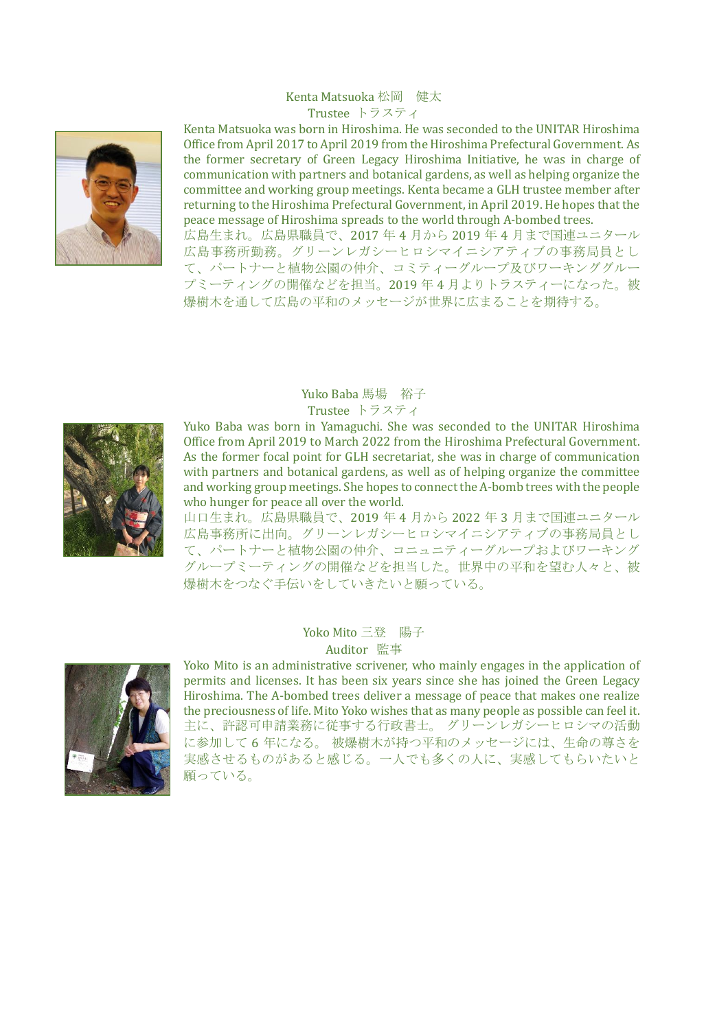#### Kenta Matsuoka 松岡 健太 Trustee トラスティ



Kenta Matsuoka was born in Hiroshima. He was seconded to the UNITAR Hiroshima Office from April 2017 to April 2019 from the Hiroshima Prefectural Government. As the former secretary of Green Legacy Hiroshima Initiative, he was in charge of communication with partners and botanical gardens, as well as helping organize the committee and working group meetings. Kenta became a GLH trustee member after returning to the Hiroshima Prefectural Government, in April 2019. He hopes that the peace message of Hiroshima spreads to the world through A-bombed trees.

広島生まれ。広島県職員で、2017 年 4 月から 2019 年 4 月まで国連ユニタール 広島事務所勤務。グリーンレガシーヒロシマイニシアティブの事務局員とし て、パートナーと植物公園の仲介、コミティーグループ及びワーキンググルー プミーティングの開催などを担当。2019 年 4 月よりトラスティーになった。被 爆樹木を通して広島の平和のメッセージが世界に広まることを期待する。



# Yuko Baba 馬場 裕子 Trustee トラスティ

Yuko Baba was born in Yamaguchi. She was seconded to the UNITAR Hiroshima Office from April 2019 to March 2022 from the Hiroshima Prefectural Government. As the former focal point for GLH secretariat, she was in charge of communication with partners and botanical gardens, as well as of helping organize the committee and working group meetings. She hopes to connect the A-bomb trees with the people who hunger for peace all over the world.

山口生まれ。広島県職員で、2019 年 4 月から 2022 年 3 月まで国連ユニタール 広島事務所に出向。グリーンレガシーヒロシマイニシアティブの事務局員とし て、パートナーと植物公園の仲介、コニュニティーグループおよびワーキング グループミーティングの開催などを担当した。世界中の平和を望む人々と、被 爆樹木をつなぐ手伝いをしていきたいと願っている。



#### Yoko Mito 三登 陽子 Auditor 監事

Yoko Mito is an administrative scrivener, who mainly engages in the application of permits and licenses. It has been six years since she has joined the Green Legacy Hiroshima. The A-bombed trees deliver a message of peace that makes one realize the preciousness of life. Mito Yoko wishes that as many people as possible can feel it. 主に、許認可申請業務に従事する行政書士。 グリーンレガシーヒロシマの活動 に参加して 6 年になる。 被爆樹木が持つ平和のメッセージには、生命の尊さを 実感させるものがあると感じる。一人でも多くの人に、実感してもらいたいと 願っている。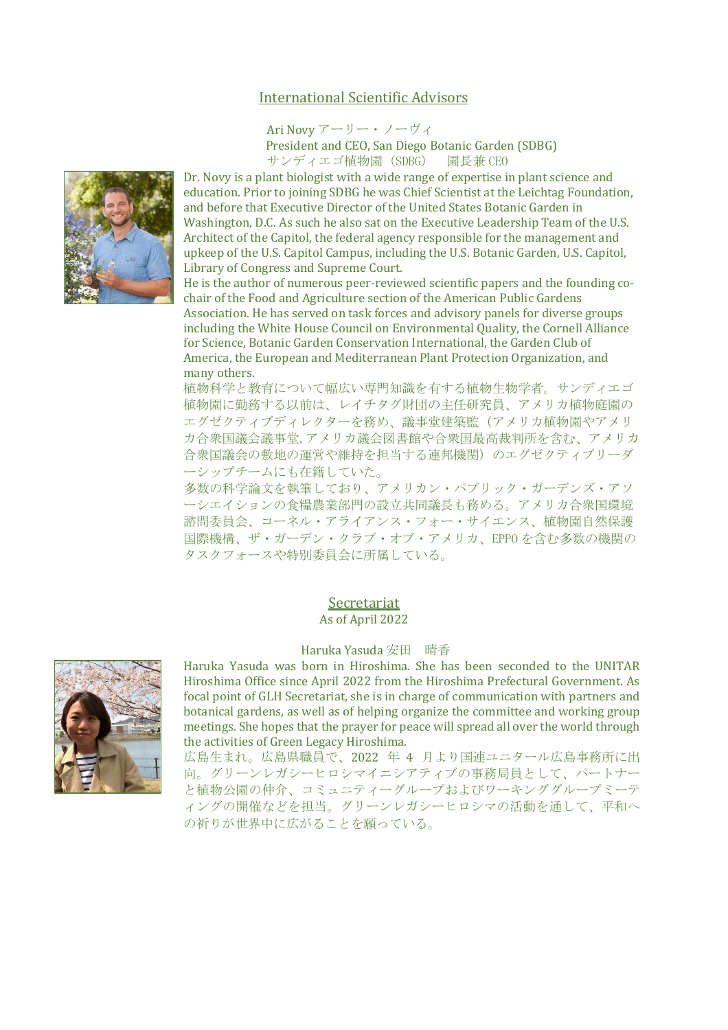# International Scientific Advisors

Ari Novy アーリー・ノーヴィ

President and CEO, San Diego Botanic Garden (SDBG) サンディエゴ植物園(SDBG) 園長兼 CEO

Dr. Novy is a plant biologist with a wide range of expertise in plant science and education. Prior to joining SDBG he was Chief Scientist at the Leichtag Foundation, and before that Executive Director of the United States Botanic Garden in Washington, D.C. As such he also sat on the Executive Leadership Team of the U.S. Architect of the Capitol, the federal agency responsible for the management and upkeep of the U.S. Capitol Campus, including the U.S. Botanic Garden, U.S. Capitol, Library of Congress and Supreme Court.

He is the author of numerous peer-reviewed scientific papers and the founding cochair of the Food and Agriculture section of the American Public Gardens Association. He has served on task forces and advisory panels for diverse groups including the White House Council on Environmental Quality, the Cornell Alliance for Science, Botanic Garden Conservation International, the Garden Club of America, the European and Mediterranean Plant Protection Organization, and many others.

植物科学と教育について幅広い専門知識を有する植物生物学者。サンディエゴ 植物園に勤務する以前は、レイチタグ財団の主任研究員、アメリカ植物庭園の エグゼクティブディレクターを務め、議事堂建築監(アメリカ植物園やアメリ カ合衆国議会議事堂,アメリカ議会図書館や合衆国最高裁判所を含む、アメリカ 合衆国議会の敷地の運営や維持を担当する連邦機関)のエグゼクティブリーダ ーシップチームにも在籍していた。

多数の科学論文を執筆しており、アメリカン・パブリック・ガーデンズ・アソ ーシエイションの食糧農業部門の設立共同議長も務める。アメリカ合衆国環境 諮問委員会、コーネル・アライアンス・フォー・サイエンス、植物園自然保護 国際機構、ザ・ガーデン・クラブ・オブ・アメリカ、EPPO を含む多数の機関の タスクフォースや特別委員会に所属している。

#### **Secretariat** As of April 2022

#### Haruka Yasuda 安田 晴香

Haruka Yasuda was born in Hiroshima. She has been seconded to the UNITAR Hiroshima Office since April 2022 from the Hiroshima Prefectural Government. As focal point of GLH Secretariat, she is in charge of communication with partners and botanical gardens, as well as of helping organize the committee and working group meetings. She hopes that the prayer for peace will spread all over the world through the activities of Green Legacy Hiroshima.

広島生まれ。広島県職員で、2022 年 4 月より国連ユニタール広島事務所に出 向。グリーンレガシーヒロシマイニシアティブの事務局員として、パートナー と植物公園の仲介、コミュニティーグループおよびワーキンググループミーテ ィングの開催などを担当。グリーンレガシーヒロシマの活動を通して、平和へ の祈りが世界中に広がることを願っている。



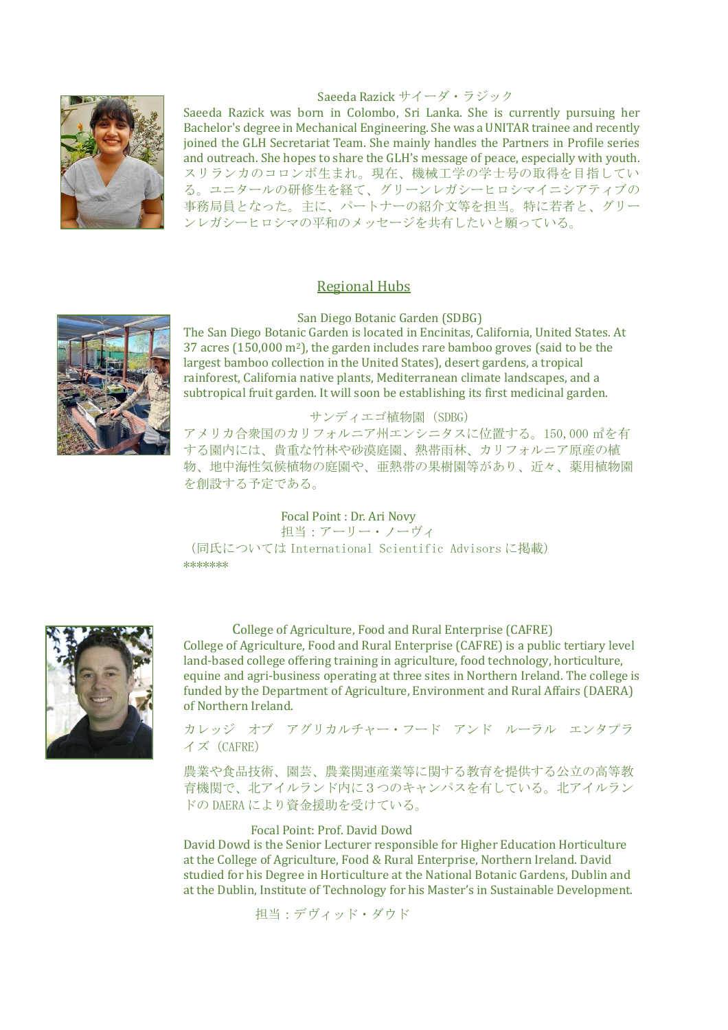# Saeeda Razick サイーダ・ラジック



Saeeda Razick was born in Colombo, Sri Lanka. She is currently pursuing her Bachelor's degree in Mechanical Engineering. She was a UNITAR trainee and recently joined the GLH Secretariat Team. She mainly handles the Partners in Profile series and outreach. She hopes to share the GLH's message of peace, especially with youth. スリランカのコロンボ生まれ。現在、機械工学の学士号の取得を目指してい る。ユニタールの研修生を経て、グリーンレガシーヒロシマイニシアティブの 事務局員となった。主に、パートナーの紹介文等を担当。特に若者と、グリー ンレガシーヒロシマの平和のメッセージを共有したいと願っている。

# Regional Hubs

San Diego Botanic Garden (SDBG)

The San Diego Botanic Garden is located in Encinitas, [California,](https://en.wikipedia.org/wiki/Encinitas,_California) [United](https://en.wikipedia.org/wiki/United_States) States. At 37 acres (150,000 m2), the garden includes rare [bamboo](https://en.wikipedia.org/wiki/Bamboo) groves (said to be the largest bamboo collection in the United States), desert gardens, a tropical [rainforest,](https://en.wikipedia.org/wiki/Rainforest) California native plants, Mediterranean climate landscapes, and a subtropical [fruit](https://en.wikipedia.org/wiki/Fruit) garden. It will soon be establishing its first medicinal garden.

#### サンディエゴ植物園(SDBG)

アメリカ合衆国のカリフォルニア州エンシニタスに位置する。150,000 ㎡を有 する園内には、貴重な竹林や砂漠庭園、熱帯雨林、カリフォルニア原産の植 物、地中海性気候植物の庭園や、亜熱帯の果樹園等があり、近々、薬用植物園 を創設する予定である。

# Focal Point : Dr. Ari Novy

担当:アーリー・ノーヴィ (同氏については International Scientific Advisors に掲載) \*\*\*\*\*\*\*



College of Agriculture, Food and Rural Enterprise (CAFRE) College of Agriculture, Food and Rural Enterprise (CAFRE) is a public tertiary level [land-based](https://en.wikipedia.org/wiki/Land-based_college) college offering training in agriculture, food technology, horticulture, equine and agri-business operating at three sites in [Northern](https://en.wikipedia.org/wiki/Northern_Ireland) Ireland. The college is funded by the Department of Agriculture, [Environment](https://en.wikipedia.org/wiki/Department_of_Agriculture,_Environment_and_Rural_Affairs) and Rural Affairs (DAERA) of Northern Ireland.

カレッジ オブ アグリカルチャー・フード アンド ルーラル エンタプラ イズ(CAFRE)

農業や食品技術、園芸、農業関連産業等に関する教育を提供する公立の高等教 育機関で、北アイルランド内に3つのキャンパスを有している。北アイルラン ドの DAERA により資金援助を受けている。

#### Focal Point: Prof. David Dowd

David Dowd is the Senior Lecturer responsible for Higher Education Horticulture at the College of Agriculture, Food & Rural Enterprise, Northern Ireland. David studied for his Degree in Horticulture at the National Botanic Gardens, Dublin and at the Dublin, Institute of Technology for his Master's in Sustainable Development.

担当:デヴィッド・ダウド